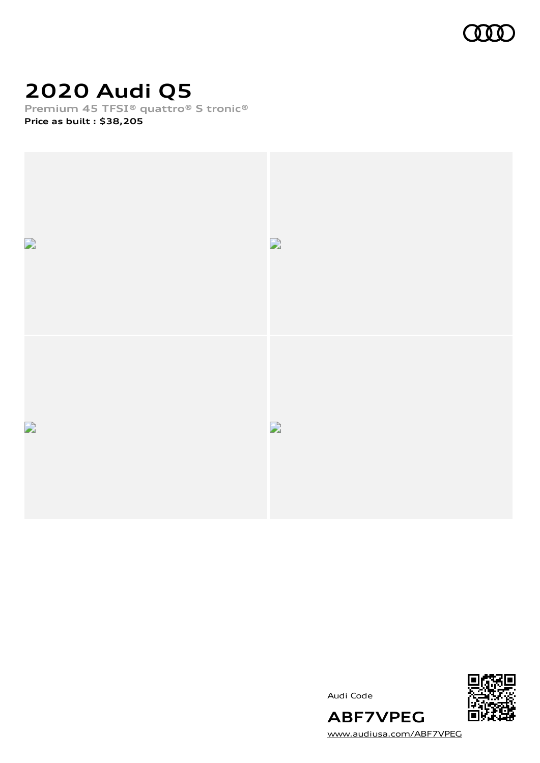

# **2020 Audi Q5**

**Premium 45 TFSI® quattro® S tronic®**

**Price as built [:](#page-8-0) \$38,205**







[www.audiusa.com/ABF7VPEG](https://www.audiusa.com/ABF7VPEG)

**ABF7VPEG**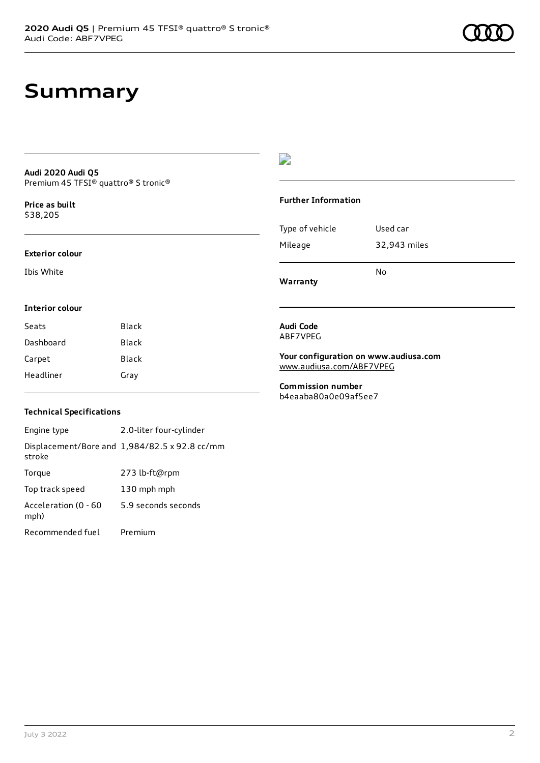## **Summary**

#### **Audi 2020 Audi Q5** Premium 45 TFSI® quattro® S tronic®

**Price as buil[t](#page-8-0)** \$38,205

#### **Exterior colour**

Ibis White

### D

#### **Further Information**

|                 | N٥           |
|-----------------|--------------|
| Mileage         | 32,943 miles |
| Type of vehicle | Used car     |

**Warranty**

### **Interior colour**

| Seats     | Black        |
|-----------|--------------|
| Dashboard | Black        |
| Carpet    | <b>Black</b> |
| Headliner | Gray         |

#### **Audi Code** ABF7VPEG

**Your configuration on www.audiusa.com** [www.audiusa.com/ABF7VPEG](https://www.audiusa.com/ABF7VPEG)

**Commission number** b4eaaba80a0e09af5ee7

### **Technical Specifications**

Engine type 2.0-liter four-cylinder Displacement/Bore and 1,984/82.5 x 92.8 cc/mm stroke Torque 273 lb-ft@rpm Top track speed 130 mph mph Acceleration (0 - 60 mph) 5.9 seconds seconds Recommended fuel Premium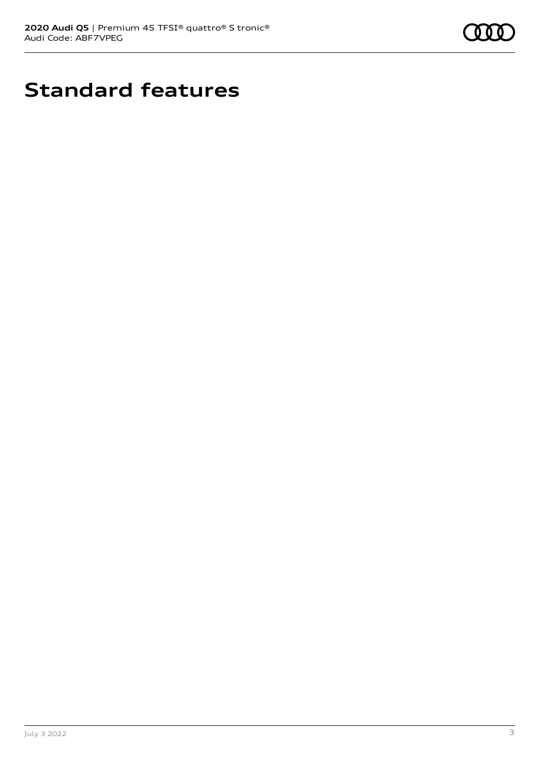

# **Standard features**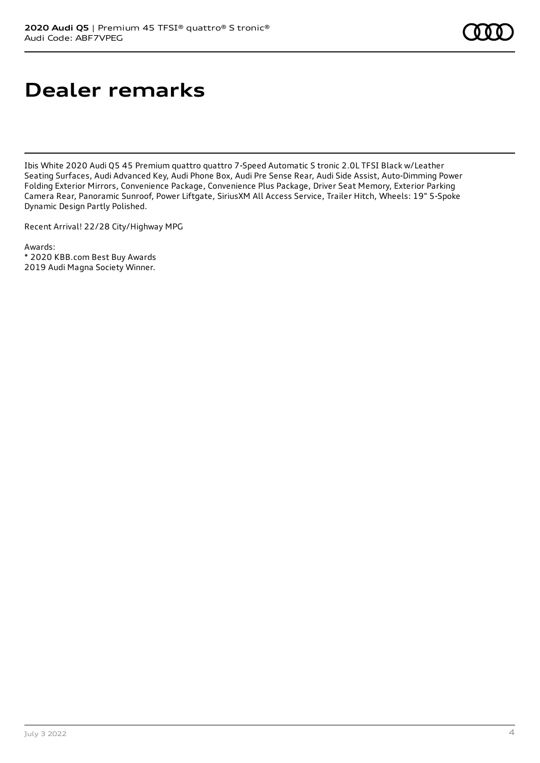# **Dealer remarks**

Ibis White 2020 Audi Q5 45 Premium quattro quattro 7-Speed Automatic S tronic 2.0L TFSI Black w/Leather Seating Surfaces, Audi Advanced Key, Audi Phone Box, Audi Pre Sense Rear, Audi Side Assist, Auto-Dimming Power Folding Exterior Mirrors, Convenience Package, Convenience Plus Package, Driver Seat Memory, Exterior Parking Camera Rear, Panoramic Sunroof, Power Liftgate, SiriusXM All Access Service, Trailer Hitch, Wheels: 19" 5-Spoke Dynamic Design Partly Polished.

Recent Arrival! 22/28 City/Highway MPG

Awards: \* 2020 KBB.com Best Buy Awards 2019 Audi Magna Society Winner.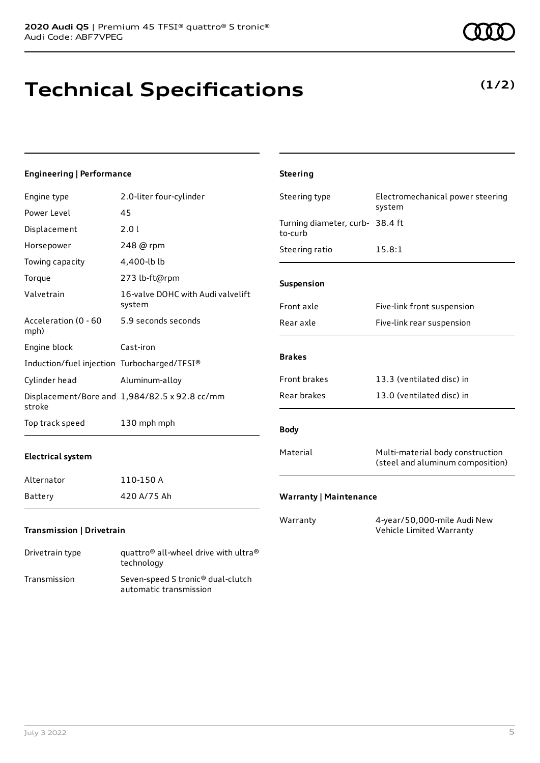# **Technical Specifications**

### **Engineering | Performance**

| Engine type                                 | 2.0-liter four-cylinder                       | Steering type                              | Electromechanical power steering                                     |
|---------------------------------------------|-----------------------------------------------|--------------------------------------------|----------------------------------------------------------------------|
| Power Level                                 | 45                                            |                                            | system                                                               |
| Displacement                                | 2.01                                          | Turning diameter, curb- 38.4 ft<br>to-curb |                                                                      |
| Horsepower                                  | 248 @ rpm                                     | Steering ratio                             | 15.8:1                                                               |
| Towing capacity                             | 4,400-lb lb                                   |                                            |                                                                      |
| Torque                                      | 273 lb-ft@rpm                                 | Suspension                                 |                                                                      |
| Valvetrain                                  | 16-valve DOHC with Audi valvelift<br>system   | Front axle                                 | Five-link front suspension                                           |
| Acceleration (0 - 60<br>mph)                | 5.9 seconds seconds                           | Rear axle                                  | Five-link rear suspension                                            |
| Engine block                                | Cast-iron                                     |                                            |                                                                      |
| Induction/fuel injection Turbocharged/TFSI® |                                               | <b>Brakes</b>                              |                                                                      |
| Cylinder head                               | Aluminum-alloy                                | Front brakes                               | 13.3 (ventilated disc) in                                            |
| stroke                                      | Displacement/Bore and 1,984/82.5 x 92.8 cc/mm | Rear brakes                                | 13.0 (ventilated disc) in                                            |
| Top track speed                             | 130 mph mph                                   | <b>Body</b>                                |                                                                      |
| <b>Electrical system</b>                    |                                               | Material                                   | Multi-material body construction<br>(steel and aluminum composition) |
| Alternator                                  | 110-150 A                                     |                                            |                                                                      |
| <b>Battery</b>                              | 420 A/75 Ah                                   | <b>Warranty   Maintenance</b>              |                                                                      |
| <b>Transmission   Drivetrain</b>            |                                               | Warranty                                   | 4-year/50,000-mile Audi New<br>Vehicle Limited Warranty              |

**Steering**

| Drivetrain type | quattro <sup>®</sup> all-wheel drive with ultra <sup>®</sup><br>technology |
|-----------------|----------------------------------------------------------------------------|
| Transmission    | Seven-speed S tronic <sup>®</sup> dual-clutch<br>automatic transmission    |



### **(1/2)**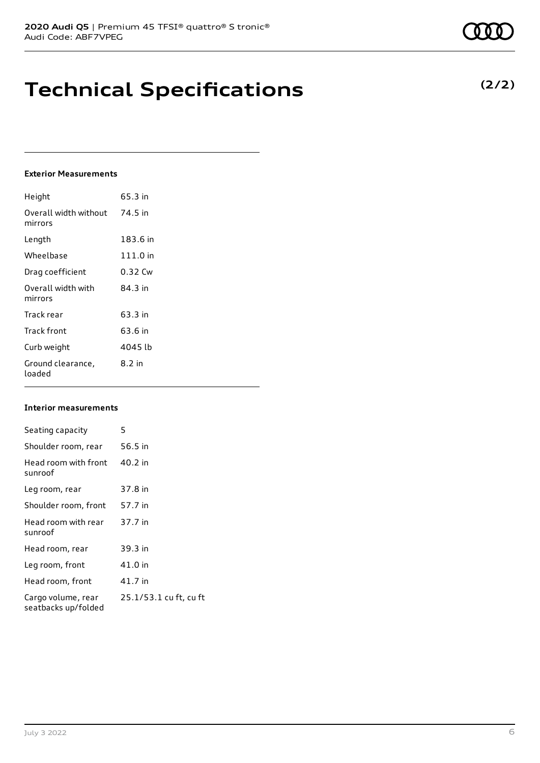## **Technical Specifications**

### **Exterior Measurements**

| Height                           | 65.3 in  |
|----------------------------------|----------|
| Overall width without<br>mirrors | 74.5 in  |
| Length                           | 183.6 in |
| Wheelbase                        | 111.0 in |
| Drag coefficient                 | 0.32 Cw  |
| Overall width with<br>mirrors    | 84 3 in  |
| Track rear                       | 63.3 in  |
| Track front                      | 63.6 in  |
| Curb weight                      | 4045 lb  |
| Ground clearance,<br>loaded      | 8.2 in   |

### **Interior measurements**

| Seating capacity                          | 5                      |
|-------------------------------------------|------------------------|
| Shoulder room, rear                       | 56.5 in                |
| Head room with front<br>sunroof           | 40.2 in                |
| Leg room, rear                            | 37.8 in                |
| Shoulder room, front                      | 57.7 in                |
| Head room with rear<br>sunroof            | 37.7 in                |
| Head room, rear                           | 39.3 in                |
| Leg room, front                           | 41.0 in                |
| Head room, front                          | 41.7 in                |
| Cargo volume, rear<br>seatbacks up/folded | 25.1/53.1 cu ft, cu ft |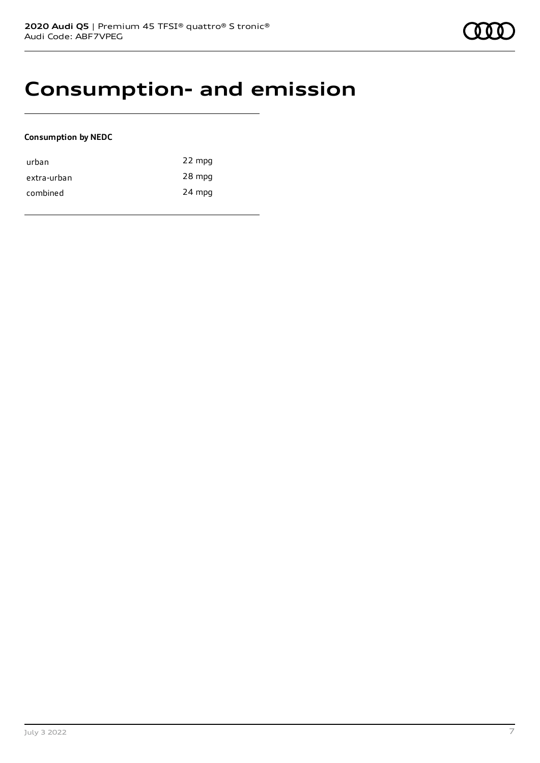### **Consumption- and emission**

### **Consumption by NEDC**

| urban       | 22 mpg |
|-------------|--------|
| extra-urban | 28 mpg |
| combined    | 24 mpg |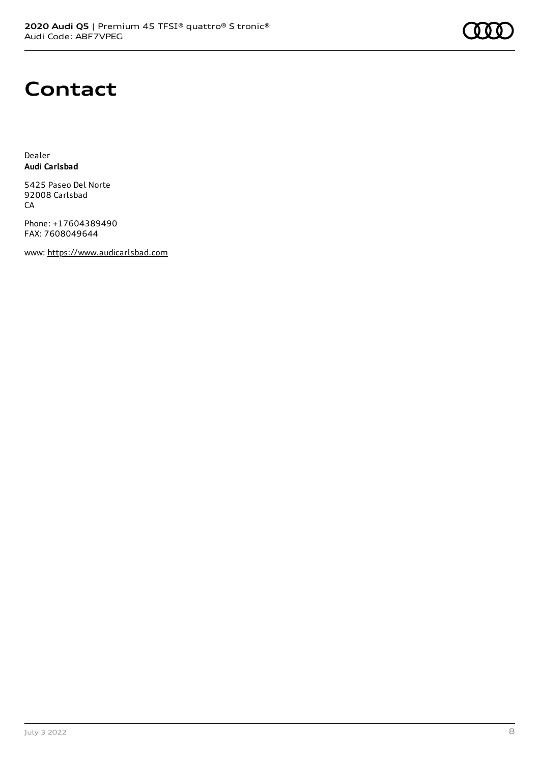

### **Contact**

Dealer **Audi Carlsbad**

5425 Paseo Del Norte 92008 Carlsbad CA

Phone: +17604389490 FAX: 7608049644

www: [https://www.audicarlsbad.com](https://www.audicarlsbad.com/)